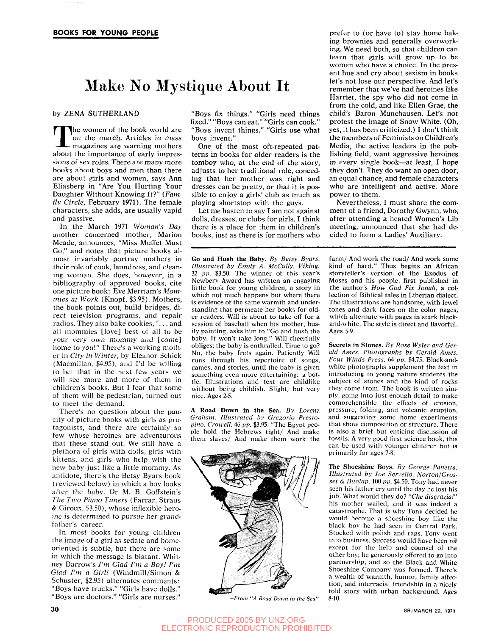# Make No Mystique About It

by ZENA SUTHERLAND

The women of the book world are<br>on the march. Articles in mass<br>magazines are warning mothers<br>about the importance of early impres-The women of the book world are on the march. Articles in mass magazines are warning mothers sions of sex roles. There are many more books about boys and men than there are about girls and women, says Ann Eliasberg in "Are You Hurting Your Daughter Without Knowing It?" *(Family Circle,* February 1971). The female characters, she adds, are usually vapid and passive.

In the March 1971 *Woman's Day*  another concerned mother, Marion Meade, announces, "Miss Muffet Must Go," and notes that picture books almost invariably portray mothers in their role of cook, laundress, and cleaning woman. She does, however, in a bibliography of approved books, cite one picture book: Eve Merriam's *Mommies at Work* (Knopf, \$3.95). Mothers, the book points out, build bridges, direct television programs, and repair radios. They also bake cookies, ".. . and all mommies [love] best of all to be your very own mommy and [come] home to *you\"* There's a working mother in *City in Winter,* by Eleanor Schick (Macmillan, \$4.95), and I'd be willing to bet that in the next few years we will sec more and more of them in children's books. But I fear that some of them will be pedestrian, turned out to meet the demand.

There's no question about the paucity of picture books with girls as protagonists, and there are certainly so few whose heroines are adventurous that these stand out. We still have a plethora of girls with dolls, girls with kittens, and girls who help with the new baby just like a little mommy. As antidote, there's the Betsy Byars book (reviewed below) in which a boy looks after the baby. Or M. B. Goffstein's *The Two Piano Tuners* (Farrar, Straus *&* Giroux, \$3.50), whose inflexible heroine is determined to pursue her grandfather's career.

In most books for young children the image of a girl as sedate and homeoriented is subtle, but there are some in which the message is blatant. Whitney Darrow's *I'm Glad Fm a Boy! Fm Glad Fm a Girl!* (Windmill/Simon & Schuster, \$2.95) alternates comments: "Boys have trucks." "Girls have dolls." "Boys are doctors." "Girls are nurses." "Boys fix things." "Girls need things fixed." "Boys can eat." "Girls can cook." "Boys invent things." "Girls use what boys invent."

One of the most oft-repeated patterns in books for older readers is the tomboy who, at the end of the story, adjusts to her traditional role, conceding that her mother was right and dresses can be pretty, or that it is possible to enjoy a girls' club as much as playing shortstop with the guys.

Let me hasten to say I am not against dolls, dresses, or clubs for girls. I think there is a place for them in children's books, just as there is for mothers who

Go and Hush the Baby. *By Betsy Byars. Illustrated by Emily A. McCully. Viking.*  32 *pp.* \$3.50. The winner of this year's Newbery Award has written an engaging little book for young children, a story in which not much happens but where there is evidence of the same warmth and understanding that permeate her books for older readers. Will is about to take off for a session of baseball when his mother, busily painting, asks him to "Go and hush the baby. It won't take long." Will cheerfully obliges; the baby is enthralled. Time to go? No, the baby frets again. Patiently Will runs through his repertoire of songs, games, and stories, until the baby is given something even more entertaining: a bottle. Illustrations and text are childlike without being childish. Slight, but very nice. Ages 2-5.

A Road Down in the Sea. *By Lorenz Graham. Illustrated by Gregorio Preslopino. Crowell.* 46 *pp.* \$3.95. "The Egypt people hold the Hebrews tight/ And make them slaves/ And make them work the



*—From "A Road Down in the Sea"* 

prefer to (or have to) stay home baking brownies and generally overworking. We need both, so that children can learn that girls will grow up to be women who have a choice. In the present hue and cry about sexism in books let's not lose our perspective. And let's remember that we've had heroines like Harriet, the spy who did not come in from the cold, and like Ellen Grae, the child's Baron Munchausen. Let's not protest the image of Snow White. (Oh, yes, it has been criticized.) I don't think the members of Feminists on Children's Media, the active leaders in the publishing field, want aggressive heroines in every single book—at least, I hope they don't. They do want an open door, an equal chance, and female characters who are intelligent and active. More power to them.

Nevertheless, I must share the comment of a friend, Dorothy Gwynn, who, after attending a heated Women's Lib meeting, announced that she had decided to form a Ladies' Auxiliary.

farm/ And work the road/ And work some kind of hard." Thus begins an African storyteller's version of the Exodus of Moses and his people, first published in the author's *How God Fix Jonah,* a collection of Biblical tales in Liberian dialect. The illustrations are handsome, with jewel tones and dark faces on the color pages, which alternate with pages in stark blackand-white. The style is direct and flavorful. Ages 5-9.

Secrets in Stones. *By Rose Wyler and Gerald Ames. Photographs by Gerald Ames. Four Winds Press.* 64 *pp.* \$4.75. Black-andwhite photographs supplement the text in introducing to young nature students the subject of stones and the kind of rocks they come from. The book is written simply, going into just enough detail to make comprehensible the elfects of erosion, pressure, folding, and volcanic eruption, and suggesting some home experiments that show composition or structure. There is also a brief but enticing discussion of fossils. A very good first science book, this can be used with younger children but is primarily for ages 7-8.

The Shoeshine Boys. *By George Panetla. Illustrated by Joe Servello. Norton/Grosset & Dunlap.* 100 *pp.* \$4.50. Tony had never seen his father cry until the day he lost his job. What would they do? *"Che disgrazia!"*  his mother wailed, and it was indeed a catastrophe. That is why Tony decided he would become a shoeshine boy like the black boy he had seen in Central Park. Stocked with polish and rags, Tony went into business. Success would have been nil except for the help and counsel of the other boy; he generously offered to go into partnership, and so the Black and White Shoeshine Company was formed. There's a wealth of warmth, humor, family affection, and interracial friendship in a nicely told story with urban background. Ages 8-10.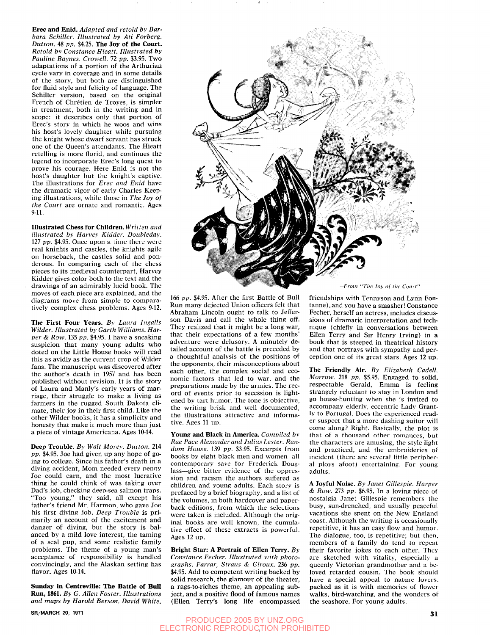**Erec and Enid.** *Adapted and retold by Barbara Schiller. Illustrated by Ati Forberg. Button.* 48 *pp.* \$4.25. **The Joy of the Court.**  *Retold by Constance Hieatt. Illustrated by Pauline Baynes. Crowell.* 72 *pp.* \$3.95. Two adaptations of a portion of the Arthurian cycle vary in coverage and in some details of the story, but both are distinguished for fluid style and felicity of language. The Schiller version, based on the original French of Chretien de Troyes, is simpler in treatment, both in the writing and in scope: it describes only that portion of Erec's story in which he woos and wins his host's lovely daughter while pursuing the knight whose dwarf servant has struck one of the Queen's attendants. The Hieatt retelling is more florid, and continues the legend to incorporate Erec's long quest to prove his courage. Here Enid is not the host's daughter but the knight's captive. The illustrations for *Erec and Enid* have the dramatic vigor of early Charles Keeping illustrations, while those in *The loy of the Court* are ornate and romantic. Ages 9-11.

**Illustrated Chess for Children.** *Written and illustrated by Harvey Kidder. Doubleday.*  127 *pp.* \$4.95. Once upon a time there were real knights and castles, the knights agile on horseback, the castles solid and ponderous. In comparing each of the chess pieces to its medieval counterpart, Harvey Kidder gives color both to the text and the drawings of an admirably lucid book. The moves of each piece are explained, and the diagrams move from simple to comparatively complex chess problems. Ages 9-12.

**The First Four Years.** *By Laura Ingalls Wilder. Illustrated by Garth Williams. Harper & Row.* 135 *pp.* \$4.95. I have a sneaking suspicion that many young adults who doted on the Little House books will read this as avidly as the current crop of Wilder fans. The manuscript was discovered after the author's death in 1957 and has been published without revision. It is the story of Laura and Manly's early years of marriage, their struggle to make a living as farmers in the rugged South Dakota climate, their joy in their first child. Like the other Wilder books, it has a simplicity and honesty that make it much more than just a piece of vintage Americana. Ages 10-14.

**Deep Trouble.** *By Walt Morey. Button.* 214 *pp.* \$4.95. Joe had given up any hope of going to college. Since his father's death in a diving accident. Mom needed every penny Joe could earn, and the most lucrative thing he could think of was taking over Dad's job, checking deep-sea salmon traps. "Too young," they said, all except his father's friend Mr. Harmon, who gave Joe his first diving job. *Deep Trouble* is primarily an account of the excitement and danger of diving, but the story is balanced by a mild love interest, the taming of a seal pup, and some realistic family problems. The theme of a young man's acceptance of responsibility is handled convincingly, and the Alaskan setting has flavor. Ages 10-14.

**Sunday In Centreville: The Battle of Bull Run, 186L** *By G. Allen Foster. Illustrations and maps by Harold Berson. David White.* 



**Young and Black in America.** *Compiled by Rae Pace Alexander and Julius Lester. Random House.* 139 *pp.* \$3.95. Excerpts from books by eight black men and women—all contemporary save for Frederick Douglass—give bitter evidence of the oppression and racism the authors suffered as children and young adults. Each story is prefaced by a brief biography, and a list of the volumes, in both hardcover and paperback editions, from which the selections were taken is included. Although the original books are well known, the cumulative effect of these extracts is powerful. Ages 12 up.

**Bright Star: A Portrait of Ellen Terry.** *By Constance Fecher. Illustrated with photographs. Farrar, Straus & Giroux.* 236 *pp.*  \$4.95. Add to competent writing backed by solid research, the glamour of the theater, **a** rags-to-riches theme, an appealing subject, and a positive flood of famous names (Ellen Terry's long life encompassed *From "The Joy of the Court"* 

friendships with Tennyson and Lynn Fontanne), and you have a smasher! Constance Fecher, herself an actress, includes discussions of dramatic interpretation and technique (chiefly in conversations between Ellen Terry and Sir Henry Irving) in **a**  book that is steeped in theatrical history and that portrays with sympathy and perception one of its great stars. Ages 12 up.

**The Friendly Air.** *By Elizabeth Cadell. Morrow.* 218 *pp.* \$5.95. Engaged to solid, respectable Gerald, Emma is feeling strangely reluctant to stay in London and go house-hunting when she is invited to accompany elderly, eccentric Lady Grantly to Portugal. Does the experienced reader suspect that a more dashing suitor will come along? Right. Basically, the plot is that of a thousand other romances, but the characters are amusing, the style light and practiced, and the embroideries of incident (there are several little peripheral ploys afoot) entertaining. For young adults.

**A Joyful Noise.** *By Janet Gillespie. Harper & Row.* 273 *pp.* \$6.95. In a loving piece of nostalgia Janet Gillespie remembers the busy, sun-drenched, and usually peaceful vacations she spent on the New England coast. Although the writing is occasionally repetitive, it has an easy flow and humor. The dialogue, too, is repetitive; but then, members of a family do tend to repeat their favorite jokes to each other. They are sketched with vitality, especially a queenly Victorian grandmother and a beloved retarded cousin. The book should have a special appeal to nature lovers, packed as it is with memories of flower walks, bird-watching, and the wonders of the seashore. For young adults.